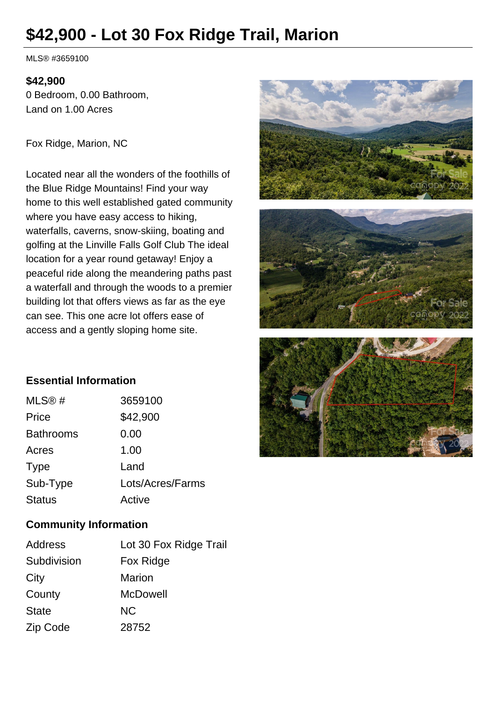# **\$42,900 - Lot 30 Fox Ridge Trail, Marion**

MLS® #3659100

#### **\$42,900**

0 Bedroom, 0.00 Bathroom, Land on 1.00 Acres

Fox Ridge, Marion, NC

Located near all the wonders of the foothills of the Blue Ridge Mountains! Find your way home to this well established gated community where you have easy access to hiking, waterfalls, caverns, snow-skiing, boating and golfing at the Linville Falls Golf Club The ideal location for a year round getaway! Enjoy a peaceful ride along the meandering paths past a waterfall and through the woods to a premier building lot that offers views as far as the eye can see. This one acre lot offers ease of access and a gently sloping home site.



# **Essential Information**

| MLS@#            | 3659100          |
|------------------|------------------|
| Price            | \$42,900         |
| <b>Bathrooms</b> | 0.00             |
| Acres            | 1.00             |
| <b>Type</b>      | Land             |
| Sub-Type         | Lots/Acres/Farms |
| <b>Status</b>    | Active           |

### **Community Information**

| Address      | Lot 30 Fox Ridge Trail |
|--------------|------------------------|
| Subdivision  | Fox Ridge              |
| City         | <b>Marion</b>          |
| County       | <b>McDowell</b>        |
| <b>State</b> | <b>NC</b>              |
| Zip Code     | 28752                  |